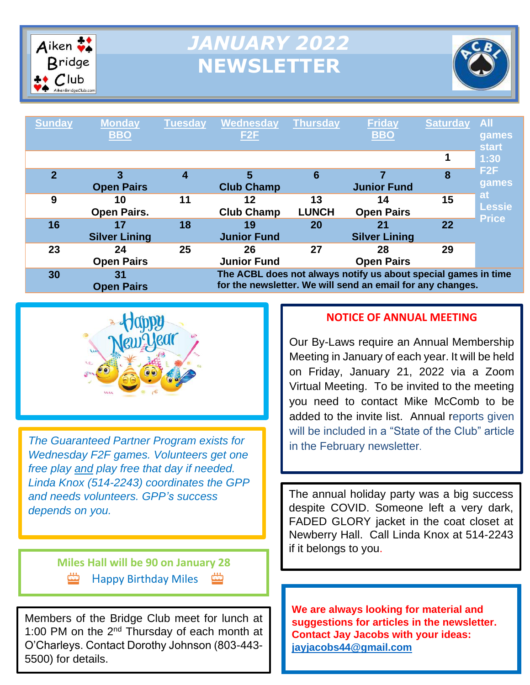

# *JANUARY 2022* **NEWSLETTER**



| <b>Sunday</b>  | <b>Monday</b><br><b>BBO</b> | <b>Tuesday</b> | Wednesday<br>F <sub>2</sub> F | <b>Thursday</b>    | <b>Friday</b><br><b>BBO</b>                                                                                                  | <b>Saturday</b> | <b>All</b><br>games<br><b>start</b>        |
|----------------|-----------------------------|----------------|-------------------------------|--------------------|------------------------------------------------------------------------------------------------------------------------------|-----------------|--------------------------------------------|
|                |                             |                |                               |                    |                                                                                                                              |                 | 1:30                                       |
| $\overline{2}$ | 3<br><b>Open Pairs</b>      | 4              | 5<br><b>Club Champ</b>        | 6                  | <b>Junior Fund</b>                                                                                                           | 8               | F <sub>2</sub> F<br>games                  |
| 9              | 10<br><b>Open Pairs.</b>    | 11             | 12<br><b>Club Champ</b>       | 13<br><b>LUNCH</b> | 14<br><b>Open Pairs</b>                                                                                                      | 15              | <b>at</b><br><b>Lessie</b><br><b>Price</b> |
| 16             | 17<br><b>Silver Lining</b>  | 18             | 19<br><b>Junior Fund</b>      | 20                 | 21<br><b>Silver Lining</b>                                                                                                   | 22              |                                            |
| 23             | 24<br><b>Open Pairs</b>     | 25             | 26<br><b>Junior Fund</b>      | 27                 | 28<br><b>Open Pairs</b>                                                                                                      | 29              |                                            |
| 30             | 31<br><b>Open Pairs</b>     |                |                               |                    | The ACBL does not always notify us about special games in time<br>for the newsletter. We will send an email for any changes. |                 |                                            |

m



*The Guaranteed Partner Program exists for Wednesday F2F games. Volunteers get one free play and play free that day if needed. Linda Knox (514-2243) coordinates the GPP and needs volunteers. GPP's success depends on you.*

> **Miles Hall will be 90 on January 28** Happy Birthday Miles

Members of the Bridge Club meet for lunch at 1:00 PM on the  $2<sup>nd</sup>$  Thursday of each month at O'Charleys. Contact Dorothy Johnson (803-443- 5500) for details.

#### **NOTICE OF ANNUAL MEETING**

Our By-Laws require an Annual Membership Meeting in January of each year. It will be held on Friday, January 21, 2022 via a Zoom Virtual Meeting. To be invited to the meeting you need to contact Mike McComb to be added to the invite list. Annual reports given will be included in a "State of the Club" article in the February newsletter.

The annual holiday party was a big success despite COVID. Someone left a very dark, FADED GLORY jacket in the coat closet at Newberry Hall. Call Linda Knox at 514-2243 if it belongs to you.

**We are always looking for material and**  .**suggestions for articles in the newsletter. Contact Jay Jacobs with your ideas: [jayjacobs44@gmail.com](mailto:jayjacobs44@gmail.com)**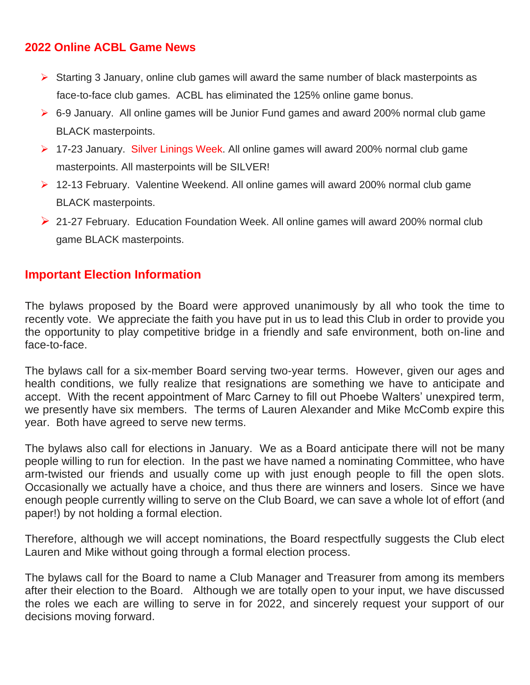#### **2022 Online ACBL Game News**

- ➢ Starting 3 January, online club games will award the same number of black masterpoints as face-to-face club games. ACBL has eliminated the 125% online game bonus.
- ➢ 6-9 January. All online games will be Junior Fund games and award 200% normal club game BLACK masterpoints.
- ➢ 17-23 January. Silver Linings Week. All online games will award 200% normal club game masterpoints. All masterpoints will be SILVER!
- ➢ 12-13 February. Valentine Weekend. All online games will award 200% normal club game BLACK masterpoints.
- ➢ 21-27 February. Education Foundation Week. All online games will award 200% normal club game BLACK masterpoints.

#### **Important Election Information**

The bylaws proposed by the Board were approved unanimously by all who took the time to recently vote. We appreciate the faith you have put in us to lead this Club in order to provide you the opportunity to play competitive bridge in a friendly and safe environment, both on-line and face-to-face.

The bylaws call for a six-member Board serving two-year terms. However, given our ages and health conditions, we fully realize that resignations are something we have to anticipate and accept. With the recent appointment of Marc Carney to fill out Phoebe Walters' unexpired term, we presently have six members. The terms of Lauren Alexander and Mike McComb expire this year. Both have agreed to serve new terms.

The bylaws also call for elections in January. We as a Board anticipate there will not be many people willing to run for election. In the past we have named a nominating Committee, who have arm-twisted our friends and usually come up with just enough people to fill the open slots. Occasionally we actually have a choice, and thus there are winners and losers. Since we have enough people currently willing to serve on the Club Board, we can save a whole lot of effort (and paper!) by not holding a formal election.

Therefore, although we will accept nominations, the Board respectfully suggests the Club elect Lauren and Mike without going through a formal election process.

The bylaws call for the Board to name a Club Manager and Treasurer from among its members after their election to the Board. Although we are totally open to your input, we have discussed the roles we each are willing to serve in for 2022, and sincerely request your support of our decisions moving forward.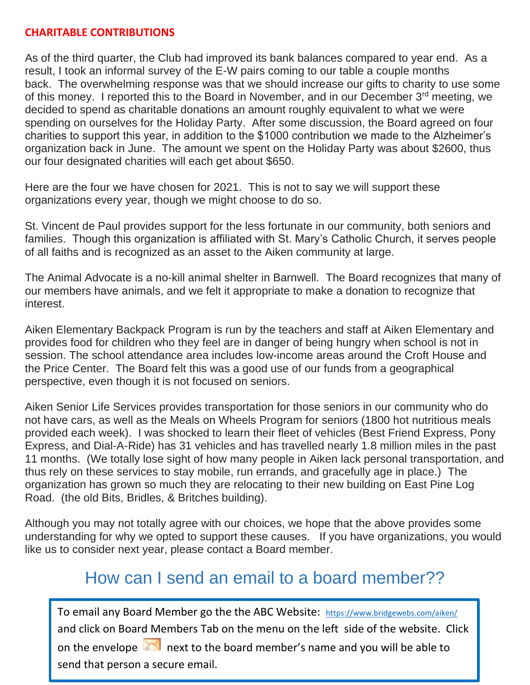#### **CHARITABLE CONTRIBUTIONS**

As of the third quarter, the Club had improved its bank balances compared to year end. As a result, I took an informal survey of the E-W pairs coming to our table a couple months back. The overwhelming response was that we should increase our gifts to charity to use some of this money. I reported this to the Board in November, and in our December 3<sup>rd</sup> meeting, we decided to spend as charitable donations an amount roughly equivalent to what we were spending on ourselves for the Holiday Party. After some discussion, the Board agreed on four charities to support this year, in addition to the \$1000 contribution we made to the Alzheimer's organization back in June. The amount we spent on the Holiday Party was about \$2600, thus our four designated charities will each get about \$650.

Here are the four we have chosen for 2021. This is not to say we will support these organizations every year, though we might choose to do so.

St. Vincent de Paul provides support for the less fortunate in our community, both seniors and families. Though this organization is affiliated with St. Mary's Catholic Church, it serves people of all faiths and is recognized as an asset to the Aiken community at large.

The Animal Advocate is a no-kill animal shelter in Barnwell. The Board recognizes that many of our members have animals, and we felt it appropriate to make a donation to recognize that interest.

Aiken Elementary Backpack Program is run by the teachers and staff at Aiken Elementary and provides food for children who they feel are in danger of being hungry when school is not in session. The school attendance area includes low-income areas around the Croft House and the Price Center. The Board felt this was a good use of our funds from a geographical perspective, even though it is not focused on seniors.

Aiken Senior Life Services provides transportation for those seniors in our community who do not have cars, as well as the Meals on Wheels Program for seniors (1800 hot nutritious meals provided each week). I was shocked to learn their fleet of vehicles (Best Friend Express, Pony Express, and Dial-A-Ride) has 31 vehicles and has travelled nearly 1.8 million miles in the past 11 months. (We totally lose sight of how many people in Aiken lack personal transportation, and thus rely on these services to stay mobile, run errands, and gracefully age in place.) The organization has grown so much they are relocating to their new building on East Pine Log Road. (the old Bits, Bridles, & Britches building).

Although you may not totally agree with our choices, we hope that the above provides some understanding for why we opted to support these causes. If you have organizations, you would like us to consider next year, please contact a Board member.

## How can I send an email to a board member??

To email any Board Member go the the ABC Website: <https://www.bridgewebs.com/aiken/> and click on Board Members Tab on the menu on the left side of the website. Click on the envelope  $\Box$  next to the board member's name and you will be able to send that person a secure email.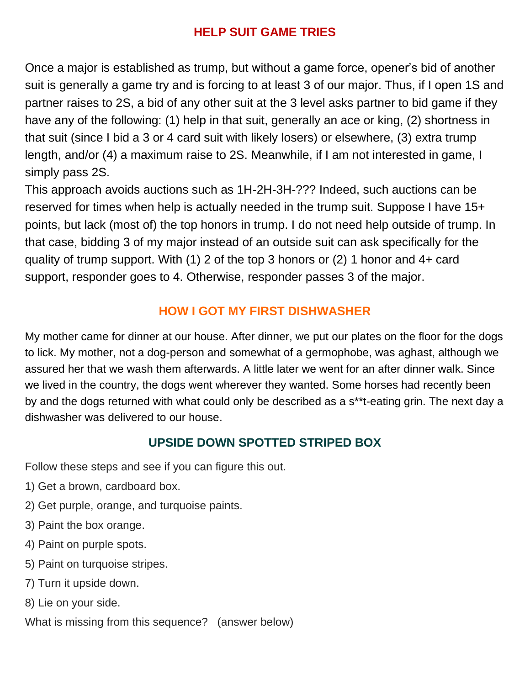#### **HELP SUIT GAME TRIES**

Once a major is established as trump, but without a game force, opener's bid of another suit is generally a game try and is forcing to at least 3 of our major. Thus, if I open 1S and partner raises to 2S, a bid of any other suit at the 3 level asks partner to bid game if they have any of the following: (1) help in that suit, generally an ace or king, (2) shortness in that suit (since I bid a 3 or 4 card suit with likely losers) or elsewhere, (3) extra trump length, and/or (4) a maximum raise to 2S. Meanwhile, if I am not interested in game, I simply pass 2S.

This approach avoids auctions such as 1H-2H-3H-??? Indeed, such auctions can be reserved for times when help is actually needed in the trump suit. Suppose I have 15+ points, but lack (most of) the top honors in trump. I do not need help outside of trump. In that case, bidding 3 of my major instead of an outside suit can ask specifically for the quality of trump support. With (1) 2 of the top 3 honors or (2) 1 honor and 4+ card support, responder goes to 4. Otherwise, responder passes 3 of the major.

#### **HOW I GOT MY FIRST DISHWASHER**

My mother came for dinner at our house. After dinner, we put our plates on the floor for the dogs to lick. My mother, not a dog-person and somewhat of a germophobe, was aghast, although we assured her that we wash them afterwards. A little later we went for an after dinner walk. Since we lived in the country, the dogs went wherever they wanted. Some horses had recently been by and the dogs returned with what could only be described as a s\*\*t-eating grin. The next day a dishwasher was delivered to our house.

#### **UPSIDE DOWN SPOTTED STRIPED BOX**

Follow these steps and see if you can figure this out.

- 1) Get a brown, cardboard box.
- 2) Get purple, orange, and turquoise paints.
- 3) Paint the box orange.
- 4) Paint on purple spots.
- 5) Paint on turquoise stripes.
- 7) Turn it upside down.
- 8) Lie on your side.

What is missing from this sequence? (answer below)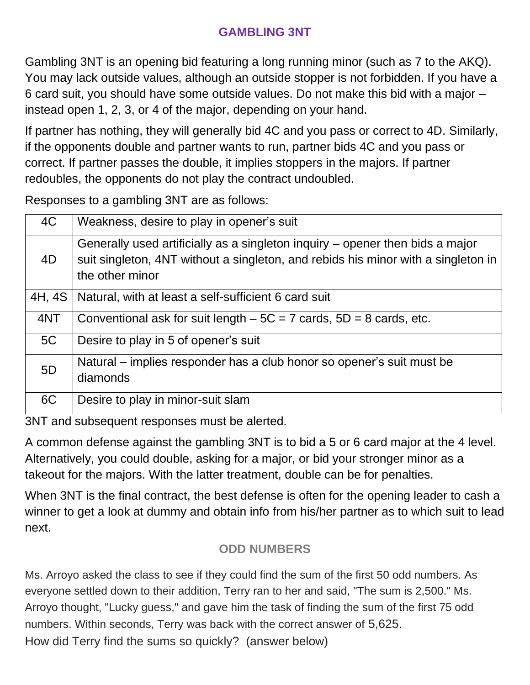## **GAMBLING 3NT**

Gambling 3NT is an opening bid featuring a long running minor (such as 7 to the AKQ). You may lack outside values, although an outside stopper is not forbidden. If you have a 6 card suit, you should have some outside values. Do not make this bid with a major – instead open 1, 2, 3, or 4 of the major, depending on your hand.

If partner has nothing, they will generally bid 4C and you pass or correct to 4D. Similarly, if the opponents double and partner wants to run, partner bids 4C and you pass or correct. If partner passes the double, it implies stoppers in the majors. If partner redoubles, the opponents do not play the contract undoubled.

Responses to a gambling 3NT are as follows:

| 4C     | Weakness, desire to play in opener's suit                                                                                                                                             |  |
|--------|---------------------------------------------------------------------------------------------------------------------------------------------------------------------------------------|--|
| 4D     | Generally used artificially as a singleton inquiry – opener then bids a major<br>suit singleton, 4NT without a singleton, and rebids his minor with a singleton in<br>the other minor |  |
| 4H, 4S | Natural, with at least a self-sufficient 6 card suit                                                                                                                                  |  |
| 4NT    | Conventional ask for suit length $-5C = 7$ cards, $5D = 8$ cards, etc.                                                                                                                |  |
| 5C     | Desire to play in 5 of opener's suit                                                                                                                                                  |  |
| 5D     | Natural – implies responder has a club honor so opener's suit must be<br>diamonds                                                                                                     |  |
| 6C     | Desire to play in minor-suit slam                                                                                                                                                     |  |

3NT and subsequent responses must be alerted.

A common defense against the gambling 3NT is to bid a 5 or 6 card major at the 4 level. Alternatively, you could double, asking for a major, or bid your stronger minor as a takeout for the majors. With the latter treatment, double can be for penalties.

When 3NT is the final contract, the best defense is often for the opening leader to cash a winner to get a look at dummy and obtain info from his/her partner as to which suit to lead next.

## **ODD NUMBERS**

Ms. Arroyo asked the class to see if they could find the sum of the first 50 odd numbers. As everyone settled down to their addition, Terry ran to her and said, "The sum is 2,500." Ms. Arroyo thought, "Lucky guess," and gave him the task of finding the sum of the first 75 odd numbers. Within seconds, Terry was back with the correct answer of 5,625. How did Terry find the sums so quickly? (answer below)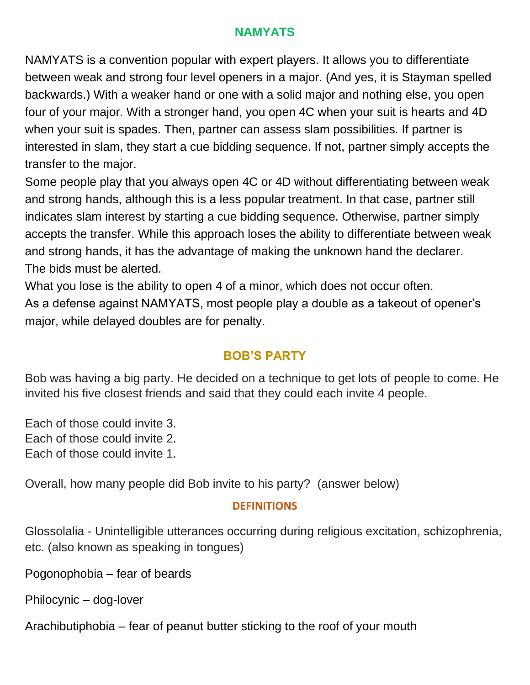## **NAMYATS**

NAMYATS is a convention popular with expert players. It allows you to differentiate between weak and strong four level openers in a major. (And yes, it is Stayman spelled backwards.) With a weaker hand or one with a solid major and nothing else, you open four of your major. With a stronger hand, you open 4C when your suit is hearts and 4D when your suit is spades. Then, partner can assess slam possibilities. If partner is interested in slam, they start a cue bidding sequence. If not, partner simply accepts the transfer to the major.

Some people play that you always open 4C or 4D without differentiating between weak and strong hands, although this is a less popular treatment. In that case, partner still indicates slam interest by starting a cue bidding sequence. Otherwise, partner simply accepts the transfer. While this approach loses the ability to differentiate between weak and strong hands, it has the advantage of making the unknown hand the declarer. The bids must be alerted.

What you lose is the ability to open 4 of a minor, which does not occur often. As a defense against NAMYATS, most people play a double as a takeout of opener's major, while delayed doubles are for penalty.

#### **BOB'S PARTY**

Bob was having a big party. He decided on a technique to get lots of people to come. He invited his five closest friends and said that they could each invite 4 people.

Each of those could invite 3. Each of those could invite 2. Each of those could invite 1.

Overall, how many people did Bob invite to his party? (answer below)

#### **DEFINITIONS**

Glossolalia - Unintelligible utterances occurring during religious excitation, schizophrenia, etc. (also known as speaking in tongues)

Pogonophobia – fear of beards

Philocynic – dog-lover

Arachibutiphobia – fear of peanut butter sticking to the roof of your mouth